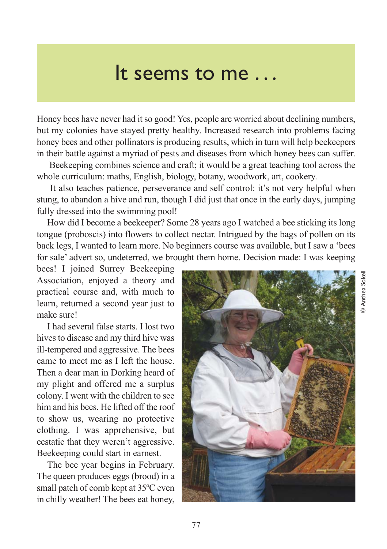## It seems to me . . .

Honey bees have never had it so good! Yes, people are worried about declining numbers, but my colonies have stayed pretty healthy. Increased research into problems facing honey bees and other pollinators is producing results, which in turn will help beekeepers in their battle against a myriad of pests and diseases from which honey bees can suffer.

Beekeeping combines science and craft; it would be a great teaching tool across the whole curriculum: maths, English, biology, botany, woodwork, art, cookery.

It also teaches patience, perseverance and self control: it's not very helpful when stung, to abandon a hive and run, though I did just that once in the early days, jumping fully dressed into the swimming pool!

How did I become a beekeeper? Some 28 years ago I watched a bee sticking its long tongue (proboscis) into flowers to collect nectar. Intrigued by the bags of pollen on its back legs, I wanted to learn more. No beginners course was available, but I saw a 'bees for sale' advert so, undeterred, we brought them home. Decision made: I was keeping

bees! I joined Surrey Beekeeping Association, enjoyed a theory and practical course and, with much to learn, returned a second year just to make sure!

I had several false starts. I lost two hives to disease and my third hive was ill-tempered and aggressive. The bees came to meet me as I left the house. Then a dear man in Dorking heard of my plight and offered me a surplus colony. I went with the children to see him and his bees. He lifted off the roof to show us, wearing no protective clothing. I was apprehensive, but ecstatic that they weren't aggressive. Beekeeping could start in earnest.

The bee year begins in February. The queen produces eggs (brood) in a small patch of comb kept at 35ºC even in chilly weather! The bees eat honey,



© Anthea SokellAnthea Sokel

ெ